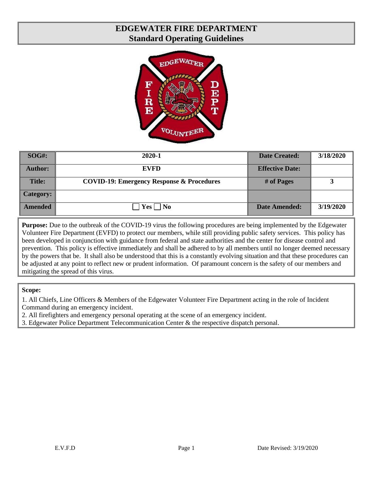# **EDGEWATER FIRE DEPARTMENT Standard Operating Guidelines**



| $\bf SOG\#:$     | 2020-1                                               | <b>Date Created:</b>   | 3/18/2020 |
|------------------|------------------------------------------------------|------------------------|-----------|
| <b>Author:</b>   | <b>EVFD</b>                                          | <b>Effective Date:</b> |           |
| <b>Title:</b>    | <b>COVID-19: Emergency Response &amp; Procedures</b> | # of Pages             | 2         |
| <b>Category:</b> |                                                      |                        |           |
| <b>Amended</b>   | $\overline{\mathbf{N}}$<br>Yes                       | <b>Date Amended:</b>   | 3/19/2020 |

**Purpose:** Due to the outbreak of the COVID-19 virus the following procedures are being implemented by the Edgewater Volunteer Fire Department (EVFD) to protect our members, while still providing public safety services. This policy has been developed in conjunction with guidance from federal and state authorities and the center for disease control and prevention. This policy is effective immediately and shall be adhered to by all members until no longer deemed necessary by the powers that be. It shall also be understood that this is a constantly evolving situation and that these procedures can be adjusted at any point to reflect new or prudent information. Of paramount concern is the safety of our members and mitigating the spread of this virus.

**Scope:**

1. All Chiefs, Line Officers & Members of the Edgewater Volunteer Fire Department acting in the role of Incident Command during an emergency incident.

2. All firefighters and emergency personal operating at the scene of an emergency incident.

3. Edgewater Police Department Telecommunication Center & the respective dispatch personal.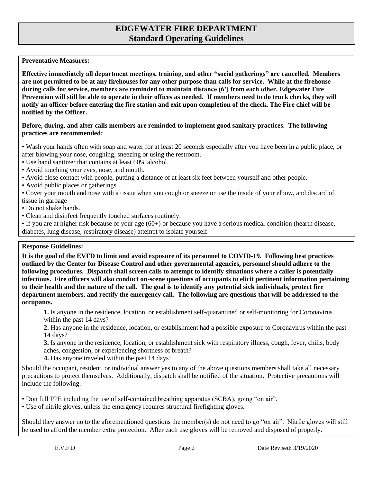# **EDGEWATER FIRE DEPARTMENT Standard Operating Guidelines**

### **Preventative Measures:**

**Effective immediately all department meetings, training, and other "social gatherings" are cancelled. Members are not permitted to be at any firehouses for any other purpose than calls for service. While at the firehouse during calls for service, members are reminded to maintain distance (6') from each other. Edgewater Fire Prevention will still be able to operate in their offices as needed. If members need to do truck checks, they will notify an officer before entering the fire station and exit upon completion of the check. The Fire chief will be notified by the Officer.**

### **Before, during, and after calls members are reminded to implement good sanitary practices. The following practices are recommended:**

• Wash your hands often with soap and water for at least 20 seconds especially after you have been in a public place, or after blowing your nose, coughing, sneezing or using the restroom.

- Use hand sanitizer that contains at least 60% alcohol.
- Avoid touching your eyes, nose, and mouth.
- Avoid close contact with people, putting a distance of at least six feet between yourself and other people.
- Avoid public places or gatherings.
- Cover your mouth and nose with a tissue when you cough or sneeze or use the inside of your elbow, and discard of tissue in garbage
- Do not shake hands.
- Clean and disinfect frequently touched surfaces routinely.

• If you are at higher risk because of your age (60+) or because you have a serious medical condition (hearth disease, diabetes, lung disease, respiratory disease) attempt to isolate yourself.

#### **Response Guidelines:**

**It is the goal of the EVFD to limit and avoid exposure of its personnel to COVID-19. Following best practices outlined by the Center for Disease Control and other governmental agencies, personnel should adhere to the following procedures. Dispatch shall screen calls to attempt to identify situations where a caller is potentially infectious. Fire officers will also conduct on-scene questions of occupants to elicit pertinent information pertaining to their health and the nature of the call. The goal is to identify any potential sick individuals, protect fire department members, and rectify the emergency call. The following are questions that will be addressed to the occupants.**

**1.** Is anyone in the residence, location, or establishment self-quarantined or self-monitoring for Coronavirus within the past 14 days?

**2.** Has anyone in the residence, location, or establishment had a possible exposure to Coronavirus within the past 14 days?

**3.** Is anyone in the residence, location, or establishment sick with respiratory illness, cough, fever, chills, body aches, congestion, or experiencing shortness of breath?

**4.** Has anyone traveled within the past 14 days?

Should the occupant, resident, or individual answer yes to any of the above questions members shall take all necessary precautions to protect themselves. Additionally, dispatch shall be notified of the situation. Protective precautions will include the following.

• Don full PPE including the use of self-contained breathing apparatus (SCBA), going "on air".

• Use of nitrile gloves, unless the emergency requires structural firefighting gloves.

Should they answer no to the aforementioned questions the member(s) do not need to go "on air". Nitrile gloves will still be used to afford the member extra protection. After each use gloves will be removed and disposed of properly.